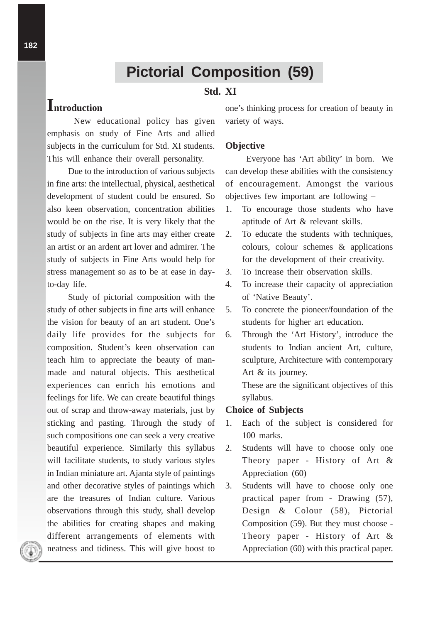# **Pictorial Composition (59)**

### **Std. XI**

## **Introduction**

New educational policy has given emphasis on study of Fine Arts and allied subjects in the curriculum for Std. XI students. This will enhance their overall personality.

Due to the introduction of various subjects in fine arts: the intellectual, physical, aesthetical development of student could be ensured. So also keen observation, concentration abilities would be on the rise. It is very likely that the study of subjects in fine arts may either create an artist or an ardent art lover and admirer. The study of subjects in Fine Arts would help for stress management so as to be at ease in dayto-day life.

Study of pictorial composition with the study of other subjects in fine arts will enhance the vision for beauty of an art student. One's daily life provides for the subjects for composition. Student's keen observation can teach him to appreciate the beauty of manmade and natural objects. This aesthetical experiences can enrich his emotions and feelings for life. We can create beautiful things out of scrap and throw-away materials, just by sticking and pasting. Through the study of such compositions one can seek a very creative beautiful experience. Similarly this syllabus will facilitate students, to study various styles in Indian miniature art. Ajanta style of paintings and other decorative styles of paintings which are the treasures of Indian culture. Various observations through this study, shall develop the abilities for creating shapes and making different arrangements of elements with neatness and tidiness. This will give boost to

one's thinking process for creation of beauty in variety of ways.

#### **Objective**

Everyone has 'Art ability' in born. We can develop these abilities with the consistency of encouragement. Amongst the various objectives few important are following –

- 1. To encourage those students who have aptitude of Art & relevant skills.
- 2. To educate the students with techniques, colours, colour schemes & applications for the development of their creativity.
- 3. To increase their observation skills.
- 4. To increase their capacity of appreciation of 'Native Beauty'.
- 5. To concrete the pioneer/foundation of the students for higher art education.
- 6. Through the 'Art History', introduce the students to Indian ancient Art, culture, sculpture, Architecture with contemporary Art & its journey.

These are the significant objectives of this syllabus.

#### **Choice of Subjects**

- 1. Each of the subject is considered for 100 marks.
- 2. Students will have to choose only one Theory paper - History of Art & Appreciation (60)
- 3. Students will have to choose only one practical paper from - Drawing (57), Design & Colour (58), Pictorial Composition (59). But they must choose - Theory paper - History of Art & Appreciation (60) with this practical paper.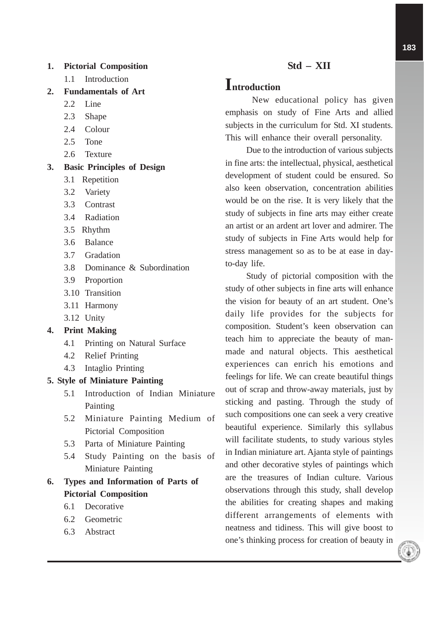#### **1. Pictorial Composition**

- 1.1 Introduction
- **2. Fundamentals of Art**
	- 2.2 Line
	- 2.3 Shape
	- 2.4 Colour
	- 2.5 Tone
	- 2.6 Texture

#### **3. Basic Principles of Design**

- 3.1 Repetition
- 3.2 Variety
- 3.3 Contrast
- 3.4 Radiation
- 3.5 Rhythm
- 3.6 Balance
- 3.7 Gradation
- 3.8 Dominance & Subordination
- 3.9 Proportion
- 3.10 Transition
- 3.11 Harmony
- 3.12 Unity

#### **4. Print Making**

- 4.1 Printing on Natural Surface
- 4.2 Relief Printing
- 4.3 Intaglio Printing

#### **5. Style of Miniature Painting**

- 5.1 Introduction of Indian Miniature Painting
- 5.2 Miniature Painting Medium of Pictorial Composition
- 5.3 Parta of Miniature Painting
- 5.4 Study Painting on the basis of Miniature Painting

### **6. Types and Information of Parts of Pictorial Composition**

- 6.1 Decorative
- 6.2 Geometric
- 6.3 Abstract

## **Std – XII**

## **Introduction**

New educational policy has given emphasis on study of Fine Arts and allied subjects in the curriculum for Std. XI students. This will enhance their overall personality.

Due to the introduction of various subjects in fine arts: the intellectual, physical, aesthetical development of student could be ensured. So also keen observation, concentration abilities would be on the rise. It is very likely that the study of subjects in fine arts may either create an artist or an ardent art lover and admirer. The study of subjects in Fine Arts would help for stress management so as to be at ease in dayto-day life.

Study of pictorial composition with the study of other subjects in fine arts will enhance the vision for beauty of an art student. One's daily life provides for the subjects for composition. Student's keen observation can teach him to appreciate the beauty of manmade and natural objects. This aesthetical experiences can enrich his emotions and feelings for life. We can create beautiful things out of scrap and throw-away materials, just by sticking and pasting. Through the study of such compositions one can seek a very creative beautiful experience. Similarly this syllabus will facilitate students, to study various styles in Indian miniature art. Ajanta style of paintings and other decorative styles of paintings which are the treasures of Indian culture. Various observations through this study, shall develop the abilities for creating shapes and making different arrangements of elements with neatness and tidiness. This will give boost to one's thinking process for creation of beauty in